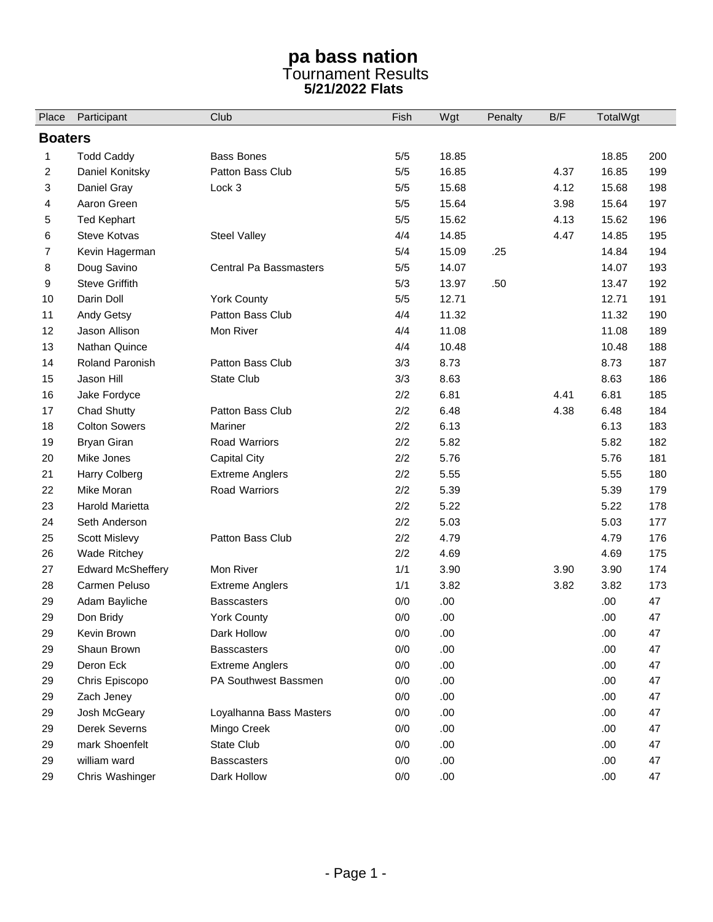## **pa bass nation**  Tournament Results **5/21/2022 Flats**

| Place | Participant              | Club                          | Fish  | Wgt   | Penalty | B/F  | TotalWgt |     |  |  |  |
|-------|--------------------------|-------------------------------|-------|-------|---------|------|----------|-----|--|--|--|
|       | <b>Boaters</b>           |                               |       |       |         |      |          |     |  |  |  |
| 1     | <b>Todd Caddy</b>        | <b>Bass Bones</b>             | $5/5$ | 18.85 |         |      | 18.85    | 200 |  |  |  |
| 2     | Daniel Konitsky          | Patton Bass Club              | $5/5$ | 16.85 |         | 4.37 | 16.85    | 199 |  |  |  |
| 3     | Daniel Gray              | Lock 3                        | $5/5$ | 15.68 |         | 4.12 | 15.68    | 198 |  |  |  |
| 4     | Aaron Green              |                               | $5/5$ | 15.64 |         | 3.98 | 15.64    | 197 |  |  |  |
| 5     | <b>Ted Kephart</b>       |                               | $5/5$ | 15.62 |         | 4.13 | 15.62    | 196 |  |  |  |
| 6     | <b>Steve Kotvas</b>      | <b>Steel Valley</b>           | 4/4   | 14.85 |         | 4.47 | 14.85    | 195 |  |  |  |
| 7     | Kevin Hagerman           |                               | 5/4   | 15.09 | .25     |      | 14.84    | 194 |  |  |  |
| 8     | Doug Savino              | <b>Central Pa Bassmasters</b> | 5/5   | 14.07 |         |      | 14.07    | 193 |  |  |  |
| 9     | <b>Steve Griffith</b>    |                               | 5/3   | 13.97 | .50     |      | 13.47    | 192 |  |  |  |
| 10    | Darin Doll               | <b>York County</b>            | $5/5$ | 12.71 |         |      | 12.71    | 191 |  |  |  |
| 11    | Andy Getsy               | Patton Bass Club              | 4/4   | 11.32 |         |      | 11.32    | 190 |  |  |  |
| 12    | Jason Allison            | Mon River                     | 4/4   | 11.08 |         |      | 11.08    | 189 |  |  |  |
| 13    | Nathan Quince            |                               | 4/4   | 10.48 |         |      | 10.48    | 188 |  |  |  |
| 14    | <b>Roland Paronish</b>   | Patton Bass Club              | 3/3   | 8.73  |         |      | 8.73     | 187 |  |  |  |
| 15    | Jason Hill               | <b>State Club</b>             | 3/3   | 8.63  |         |      | 8.63     | 186 |  |  |  |
| 16    | Jake Fordyce             |                               | 2/2   | 6.81  |         | 4.41 | 6.81     | 185 |  |  |  |
| 17    | <b>Chad Shutty</b>       | Patton Bass Club              | 2/2   | 6.48  |         | 4.38 | 6.48     | 184 |  |  |  |
| 18    | <b>Colton Sowers</b>     | Mariner                       | 2/2   | 6.13  |         |      | 6.13     | 183 |  |  |  |
| 19    | <b>Bryan Giran</b>       | Road Warriors                 | 2/2   | 5.82  |         |      | 5.82     | 182 |  |  |  |
| 20    | Mike Jones               | Capital City                  | 2/2   | 5.76  |         |      | 5.76     | 181 |  |  |  |
| 21    | Harry Colberg            | <b>Extreme Anglers</b>        | 2/2   | 5.55  |         |      | 5.55     | 180 |  |  |  |
| 22    | Mike Moran               | Road Warriors                 | 2/2   | 5.39  |         |      | 5.39     | 179 |  |  |  |
| 23    | Harold Marietta          |                               | 2/2   | 5.22  |         |      | 5.22     | 178 |  |  |  |
| 24    | Seth Anderson            |                               | 2/2   | 5.03  |         |      | 5.03     | 177 |  |  |  |
| 25    | Scott Mislevy            | Patton Bass Club              | 2/2   | 4.79  |         |      | 4.79     | 176 |  |  |  |
| 26    | Wade Ritchey             |                               | 2/2   | 4.69  |         |      | 4.69     | 175 |  |  |  |
| 27    | <b>Edward McSheffery</b> | Mon River                     | 1/1   | 3.90  |         | 3.90 | 3.90     | 174 |  |  |  |
| 28    | Carmen Peluso            | <b>Extreme Anglers</b>        | 1/1   | 3.82  |         | 3.82 | 3.82     | 173 |  |  |  |
| 29    | Adam Bayliche            | <b>Basscasters</b>            | 0/0   | .00.  |         |      | .00.     | 47  |  |  |  |
| 29    | Don Bridy                | <b>York County</b>            | 0/0   | .00   |         |      | .00      | 47  |  |  |  |
| 29    | Kevin Brown              | Dark Hollow                   | $0/0$ | .00   |         |      | .00.     | 47  |  |  |  |
| 29    | Shaun Brown              | <b>Basscasters</b>            | $0/0$ | .00   |         |      | .00      | 47  |  |  |  |
| 29    | Deron Eck                | <b>Extreme Anglers</b>        | 0/0   | .00   |         |      | .00      | 47  |  |  |  |
| 29    | Chris Episcopo           | PA Southwest Bassmen          | 0/0   | .00   |         |      | .00.     | 47  |  |  |  |
| 29    | Zach Jeney               |                               | 0/0   | .00   |         |      | .00      | 47  |  |  |  |
| 29    | Josh McGeary             | Loyalhanna Bass Masters       | 0/0   | .00.  |         |      | .00.     | 47  |  |  |  |
| 29    | Derek Severns            | Mingo Creek                   | 0/0   | .00   |         |      | .00.     | 47  |  |  |  |
| 29    | mark Shoenfelt           | State Club                    | 0/0   | .00   |         |      | .00.     | 47  |  |  |  |
| 29    | william ward             | <b>Basscasters</b>            | 0/0   | .00   |         |      | .00.     | 47  |  |  |  |
| 29    | Chris Washinger          | Dark Hollow                   | 0/0   | .00   |         |      | .00.     | 47  |  |  |  |